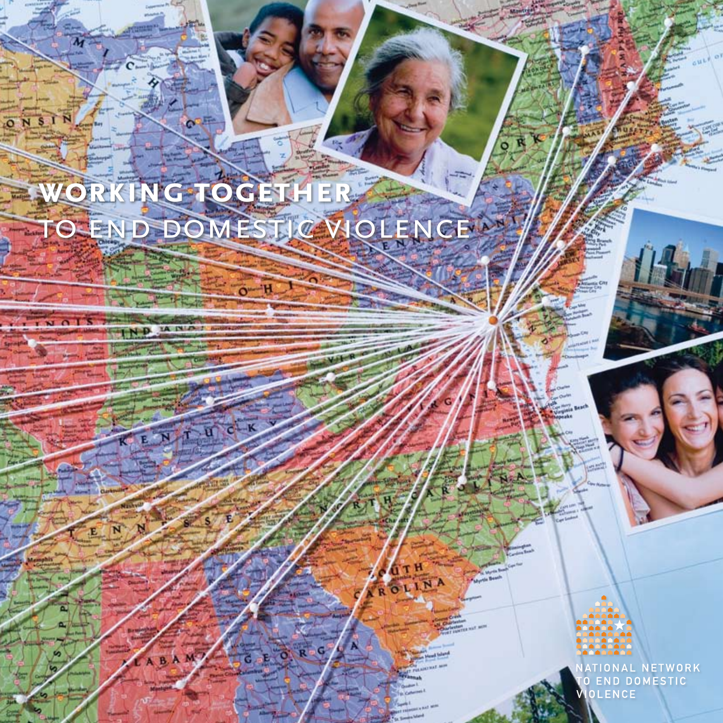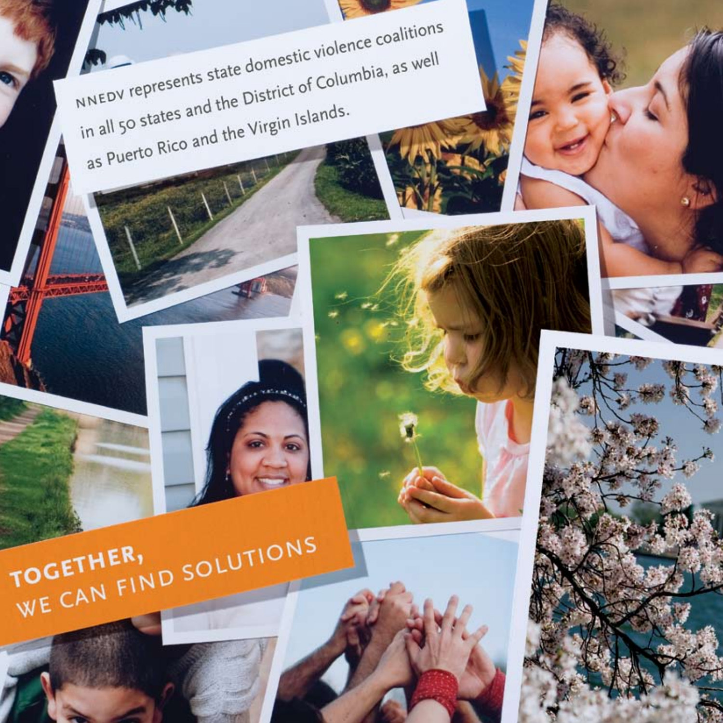





NNEDV represents state domestic violence coalitions in all 50 states and the District of Columbia, as well as Puerto Rico and the Virgin Islands.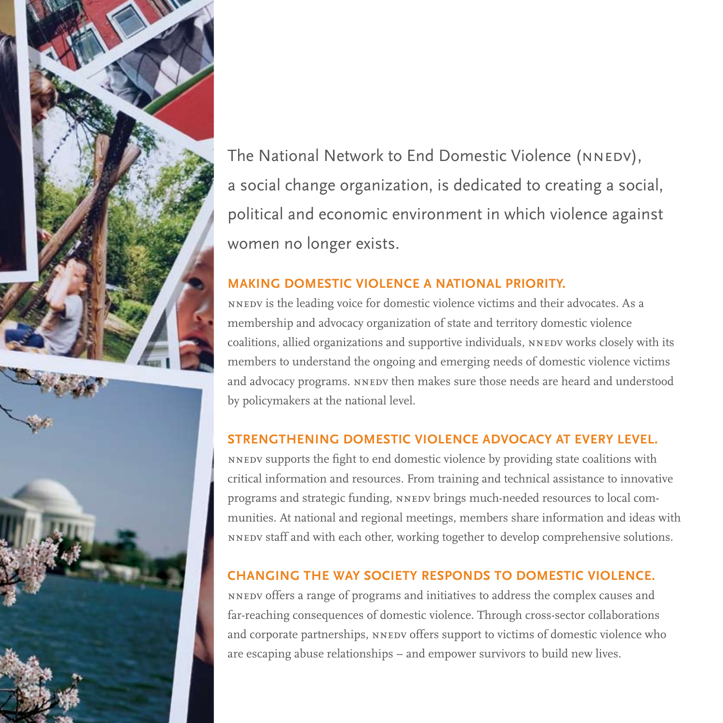

The National Network to End Domestic Violence (NNEDV), a social change organization, is dedicated to creating a social, political and economic environment in which violence against women no longer exists.

#### **MAKING DOMESTIC VIOLENCE A NATIONAL PRIORITY.**

NNEDV is the leading voice for domestic violence victims and their advocates. As a membership and advocacy organization of state and territory domestic violence coalitions, allied organizations and supportive individuals, NNEDV works closely with its members to understand the ongoing and emerging needs of domestic violence victims and advocacy programs. NNEDV then makes sure those needs are heard and understood by policymakers at the national level.

#### **STRENGTHENING DOMESTIC VIOLENCE ADVOCACY AT EVERY LEVEL.**

NNEDV Supports the fight to end domestic violence by providing state coalitions with critical information and resources. From training and technical assistance to innovative programs and strategic funding, NNEDV brings much-needed resources to local communities. At national and regional meetings, members share information and ideas with NNEDV staff and with each other, working together to develop comprehensive solutions.

#### **CHANGING THE WAY SOCIETY RESPONDS TO DOMESTIC VIOLENCE.**

NNEDV offers a range of programs and initiatives to address the complex causes and far-reaching consequences of domestic violence. Through cross-sector collaborations and corporate partnerships, NNEDV offers support to victims of domestic violence who are escaping abuse relationships - and empower survivors to build new lives.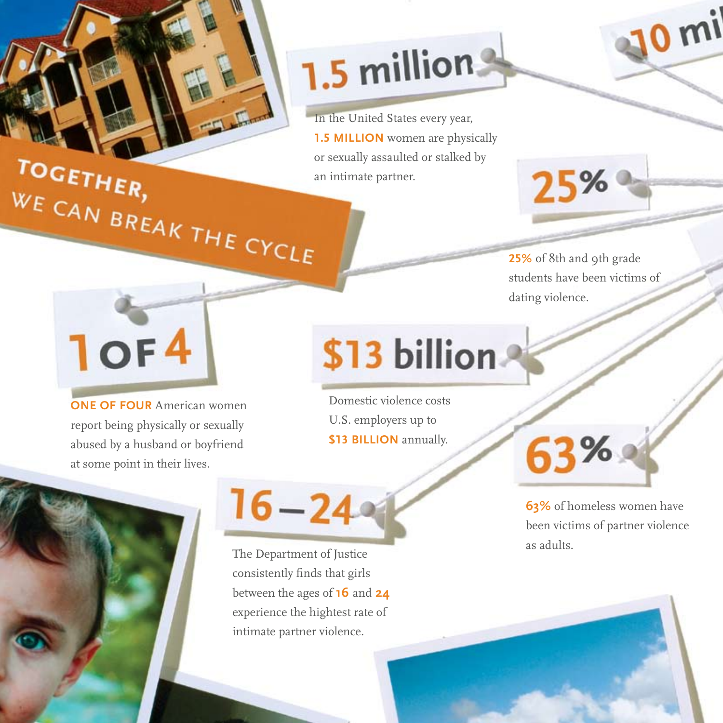

# 1.5 millions

In the United States every year, **1.5 MILLION** women are physically or sexually assaulted or stalked by an intimate partner. WE CAN BREAK THE CYCLE

25% of 8th and 9th grade students have been victims of dating violence.

25%

 $0<sub>m</sub>$ 

**10F4** 

**ONE OF FOUR** American women report being physically or sexually abused by a husband or boyfriend at some point in their lives.

## \$13 billion

Domestic violence costs U.S. employers up to \$13 BILLION annually.

 $16 - 24$ 

The Department of Justice consistently finds that girls between the ages of 16 and 24 experience the hightest rate of intimate partner violence.

**63%** 

63% of homeless women have been victims of partner violence as adults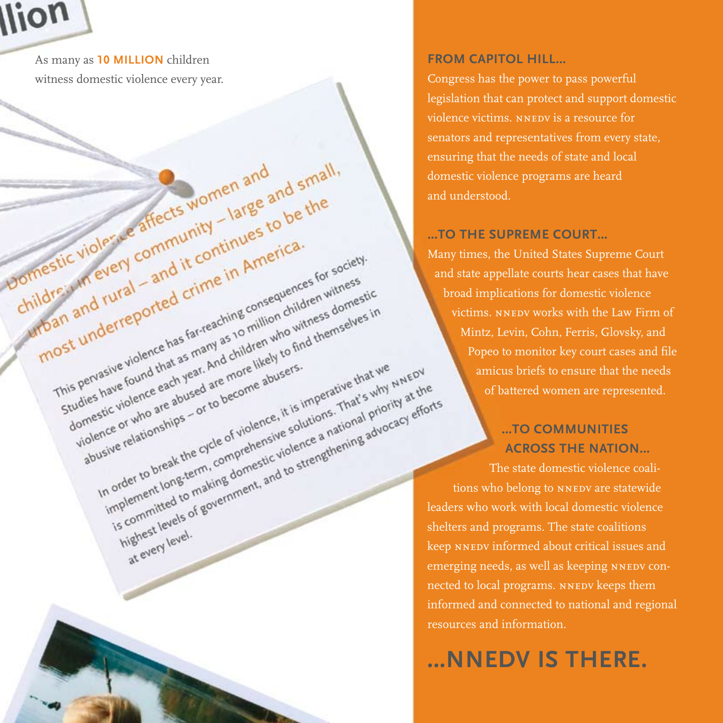

As many as 10 MILLION children witness domestic violence every year.

Womestic violer we affects women and

children in every community - large and small,

wrban and rural - and it continues to be the

This pervasive violence has far-reaching consequences for society.

Intervalue violence has fai-reaching consequences for society

abusive relationships - or to become abusers.

at every level.

domes have round that as many as 10 minion children withess domestic

violence or who are abused are more likely to find themselves in

In order to break the cycle of violence, it is imperative that we

most underreported crime in America.

#### **FROM CAPITOL HILL...**

Congress has the power to pass powerful legislation that can protect and support domestic violence victims, NNEDV is a resource for senators and representatives from every state, ensuring that the needs of state and local domestic violence programs are heard and understood.

#### ...TO THE SUPREME COURT...

Many times, the United States Supreme Court and state appellate courts hear cases that have broad implications for domestic violence victims. NNEDV works with the Law Firm of Mintz, Levin, Cohn, Ferris, Glovsky, and Popeo to monitor key court cases and file amicus briefs to ensure that the needs of battered women are represented.

#### ...TO COMMUNITIES **ACROSS THE NATION...**

In order to break the cycle of violence, it is imperative that we wake of Implement long-term, comprehensive solutions. I hat's why MNEDV<br>Implement long-term, comprehensive solutions. I hat's why with at the<br>Is committed to making domestic violence a national priority at the Is committed to making domestic violence a national phority at the<br>List committed to making domestic violence a national phority at the<br>Inighest levels of government, and to strengthening advocacy efforts The state domestic violence coalitions who belong to NNEDV are statewide leaders who work with local domestic violence shelters and programs. The state coalitions keep NNEDV informed about critical issues and emerging needs, as well as keeping NNEDV connected to local programs. NNEDV keeps them informed and connected to national and regional resources and information.

### **... NNEDV IS THERE.**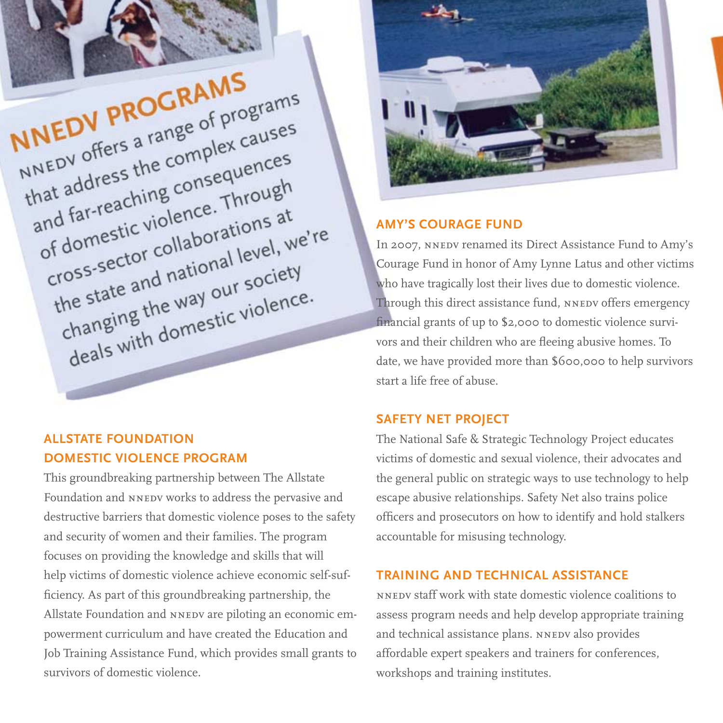

#### **ALLSTATE FOUNDATION DOMESTIC VIOLENCE PROGRAM**

This groundbreaking partnership between The Allstate Foundation and NNEDV works to address the pervasive and destructive barriers that domestic violence poses to the safety and security of women and their families. The program focuses on providing the knowledge and skills that will help victims of domestic violence achieve economic self-sufficiency. As part of this groundbreaking partnership, the Allstate Foundation and NNEDV are piloting an economic empowerment curriculum and have created the Education and Job Training Assistance Fund, which provides small grants to survivors of domestic violence



#### **AMY'S COURAGE FUND**

In 2007, NNEDV renamed its Direct Assistance Fund to Amy's Courage Fund in honor of Amy Lynne Latus and other victims who have tragically lost their lives due to domestic violence. Through this direct assistance fund, NNEDV offers emergency financial grants of up to \$2,000 to domestic violence survivors and their children who are fleeing abusive homes. To date, we have provided more than \$600,000 to help survivors start a life free of abuse

#### **SAFETY NET PROJECT**

The National Safe & Strategic Technology Project educates victims of domestic and sexual violence, their advocates and the general public on strategic ways to use technology to help escape abusive relationships. Safety Net also trains police officers and prosecutors on how to identify and hold stalkers accountable for misusing technology.

#### **TRAINING AND TECHNICAL ASSISTANCE**

NNEDV staff work with state domestic violence coalitions to assess program needs and help develop appropriate training and technical assistance plans. NNEDV also provides affordable expert speakers and trainers for conferences, workshops and training institutes.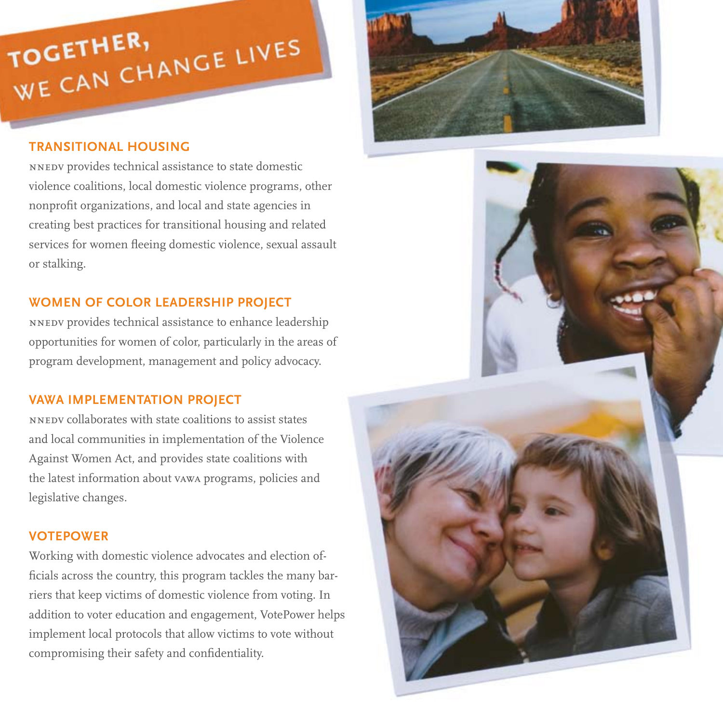### WE CAN CHANGE LIVES **TOGETHER,**

#### **TRANSITIONAL HOUSING**

NNEDV provides technical assistance to state domestic violence coalitions, local domestic violence programs, other nonprofit organizations, and local and state agencies in creating best practices for transitional housing and related services for women fleeing domestic violence, sexual assault or stalking.

#### **WOMEN OF COLOR LEADERSHIP PROJECT**

NNEDV provides technical assistance to enhance leadership opportunities for women of color, particularly in the areas of program development, management and policy advocacy.

#### **VAWA IMPLEMENTATION PROJECT**

NNEDV collaborates with state coalitions to assist states and local communities in implementation of the Violence Against Women Act, and provides state coalitions with the latest information about vawa programs, policies and legislative changes.

#### **VOTEPOWER**

Working with domestic violence advocates and election officials across the country, this program tackles the many barriers that keep victims of domestic violence from voting. In addition to voter education and engagement, VotePower helps implement local protocols that allow victims to vote without compromising their safety and confidentiality.